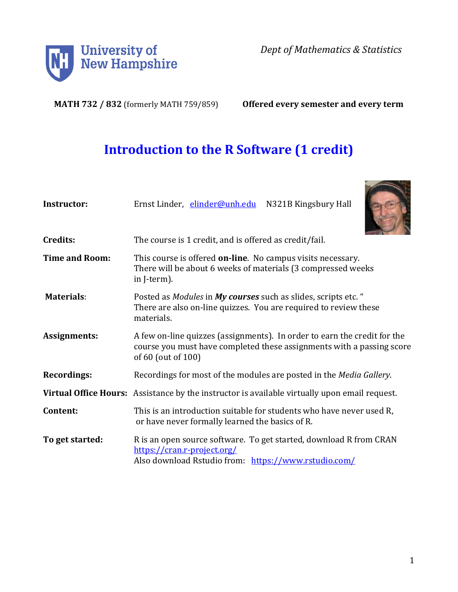

*Dept of Mathematics & Statistics*

**MATH 732 / 832** (formerly MATH 759/859) **Offered every semester and every term**

# **Introduction to the R Software (1 credit)**

| <b>Instructor:</b>    | Ernst Linder, elinder@unh.edu N321B Kingsbury Hall                                                                                                                      |
|-----------------------|-------------------------------------------------------------------------------------------------------------------------------------------------------------------------|
| Credits:              | The course is 1 credit, and is offered as credit/fail.                                                                                                                  |
| <b>Time and Room:</b> | This course is offered <b>on-line</b> . No campus visits necessary.<br>There will be about 6 weeks of materials (3 compressed weeks<br>in J-term).                      |
| <b>Materials:</b>     | Posted as Modules in My courses such as slides, scripts etc. "<br>There are also on-line quizzes. You are required to review these<br>materials.                        |
| Assignments:          | A few on-line quizzes (assignments). In order to earn the credit for the<br>course you must have completed these assignments with a passing score<br>of 60 (out of 100) |
| <b>Recordings:</b>    | Recordings for most of the modules are posted in the Media Gallery.                                                                                                     |
|                       | Virtual Office Hours: Assistance by the instructor is available virtually upon email request.                                                                           |
| Content:              | This is an introduction suitable for students who have never used R,<br>or have never formally learned the basics of R.                                                 |
| To get started:       | R is an open source software. To get started, download R from CRAN<br>https://cran.r-project.org/<br>Also download Rstudio from: https://www.rstudio.com/               |